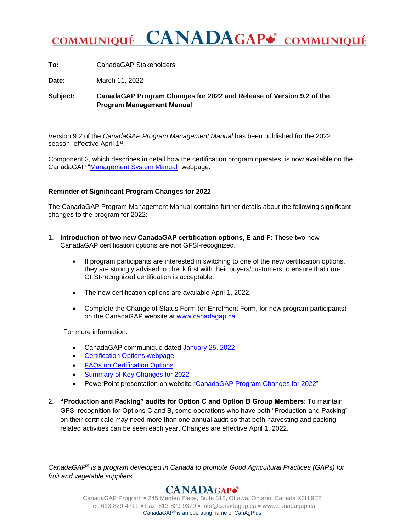## **CANADAGAP\*** COMMUNIQUÉ **COMMUNIQUÉ**

**To:** CanadaGAP Stakeholders

**Date:** March 11, 2022

**Subject: CanadaGAP Program Changes for 2022 and Release of Version 9.2 of the Program Management Manual**

Version 9.2 of the *CanadaGAP Program Management Manual* has been published for the 2022 season, effective April 1st.

Component 3, which describes in detail how the certification program operates, is now available on the CanadaGAP ["Management System Manual"](https://www.canadagap.ca/certification/program-management-system-manual/) webpage.

## **Reminder of Significant Program Changes for 2022**

The CanadaGAP Program Management Manual contains further details about the following significant changes to the program for 2022:

- 1. **Introduction of two new CanadaGAP certification options, E and F**: These two new CanadaGAP certification options are **not** GFSI-recognized.
	- If program participants are interested in switching to one of the new certification options, they are strongly advised to check first with their buyers/customers to ensure that non-GFSI-recognized certification is acceptable.
	- The new certification options are available April 1, 2022.
	- Complete the Change of Status Form (or Enrolment Form, for new program participants) on the CanadaGAP website at [www.canadagap.ca](http://www.canadagap.ca/)

For more information:

- CanadaGAP communique dated [January 25, 2022](https://www.canadagap.ca/wp-admin/admin-ajax.php?juwpfisadmin=false&action=wpfd&task=file.download&wpfd_category_id=393&wpfd_file_id=15498)
- [Certification Options webpage](https://www.canadagap.ca/certification/certification-options/)
- [FAQs on Certification Options](https://www.canadagap.ca/program/faq/options/)
- **[Summary of Key Changes for 2022](https://www.canadagap.ca/uploads/288/canadagap-program/15894/summary-of-canadagap-program-management-manual-revisions-feb-4-2022.pdf)**
- PowerPoint presentation on website ["CanadaGAP Program Changes for 2022"](https://www.canadagap.ca/publications/presentations/)
- 2. **"Production and Packing" audits for Option C and Option B Group Members**: To maintain GFSI recognition for Options C and B, some operations who have both "Production and Packing" on their certificate may need more than one annual audit so that both harvesting and packingrelated activities can be seen each year. Changes are effective April 1, 2022.

*CanadaGAP® is a program developed in Canada to promote Good Agricultural Practices (GAPs) for fruit and vegetable suppliers.*